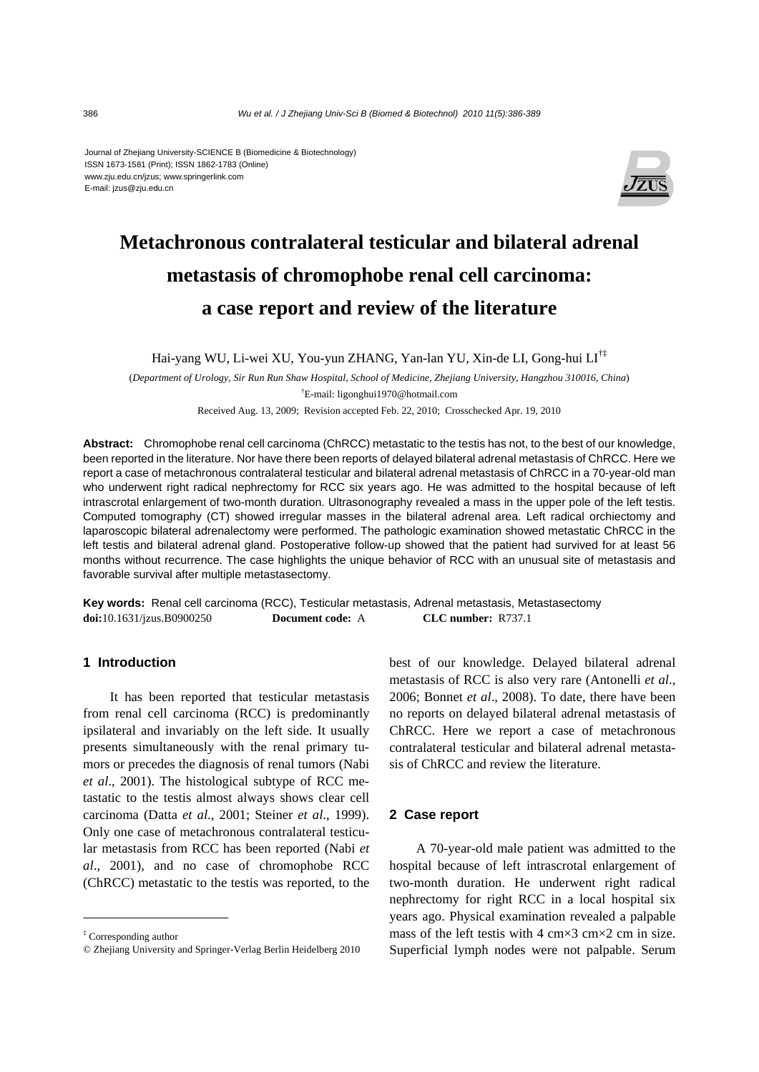#### Journal of Zhejiang University-SCIENCE B (Biomedicine & Biotechnology) ISSN 1673-1581 (Print); ISSN 1862-1783 (Online) www.zju.edu.cn/jzus; www.springerlink.com E-mail: jzus@zju.edu.cn



# **Metachronous contralateral testicular and bilateral adrenal metastasis of chromophobe renal cell carcinoma: a case report and review of the literature**

Hai-yang WU, Li-wei XU, You-yun ZHANG, Yan-lan YU, Xin-de LI, Gong-hui LI†‡

(*Department of Urology, Sir Run Run Shaw Hospital, School of Medicine, Zhejiang University, Hangzhou 310016, China*) † E-mail: ligonghui1970@hotmail.com

Received Aug. 13, 2009; Revision accepted Feb. 22, 2010; Crosschecked Apr. 19, 2010

**Abstract:** Chromophobe renal cell carcinoma (ChRCC) metastatic to the testis has not, to the best of our knowledge, been reported in the literature. Nor have there been reports of delayed bilateral adrenal metastasis of ChRCC. Here we report a case of metachronous contralateral testicular and bilateral adrenal metastasis of ChRCC in a 70-year-old man who underwent right radical nephrectomy for RCC six years ago. He was admitted to the hospital because of left intrascrotal enlargement of two-month duration. Ultrasonography revealed a mass in the upper pole of the left testis. Computed tomography (CT) showed irregular masses in the bilateral adrenal area. Left radical orchiectomy and laparoscopic bilateral adrenalectomy were performed. The pathologic examination showed metastatic ChRCC in the left testis and bilateral adrenal gland. Postoperative follow-up showed that the patient had survived for at least 56 months without recurrence. The case highlights the unique behavior of RCC with an unusual site of metastasis and favorable survival after multiple metastasectomy.

**Key words:** Renal cell carcinoma (RCC), Testicular metastasis, Adrenal metastasis, Metastasectomy **doi:**10.1631/jzus.B0900250 **Document code:** A **CLC number:** R737.1

# **1 Introduction**

It has been reported that testicular metastasis from renal cell carcinoma (RCC) is predominantly ipsilateral and invariably on the left side. It usually presents simultaneously with the renal primary tumors or precedes the diagnosis of renal tumors (Nabi *et al*., 2001). The histological subtype of RCC metastatic to the testis almost always shows clear cell carcinoma (Datta *et al*., 2001; Steiner *et al*., 1999). Only one case of metachronous contralateral testicular metastasis from RCC has been reported (Nabi *et al*., 2001), and no case of chromophobe RCC (ChRCC) metastatic to the testis was reported, to the

best of our knowledge. Delayed bilateral adrenal metastasis of RCC is also very rare (Antonelli *et al*., 2006; Bonnet *et al*., 2008). To date, there have been no reports on delayed bilateral adrenal metastasis of ChRCC. Here we report a case of metachronous contralateral testicular and bilateral adrenal metastasis of ChRCC and review the literature.

## **2 Case report**

A 70-year-old male patient was admitted to the hospital because of left intrascrotal enlargement of two-month duration. He underwent right radical nephrectomy for right RCC in a local hospital six years ago. Physical examination revealed a palpable mass of the left testis with 4 cm×3 cm×2 cm in size. Superficial lymph nodes were not palpable. Serum

<sup>‡</sup> Corresponding author

<sup>©</sup> Zhejiang University and Springer-Verlag Berlin Heidelberg 2010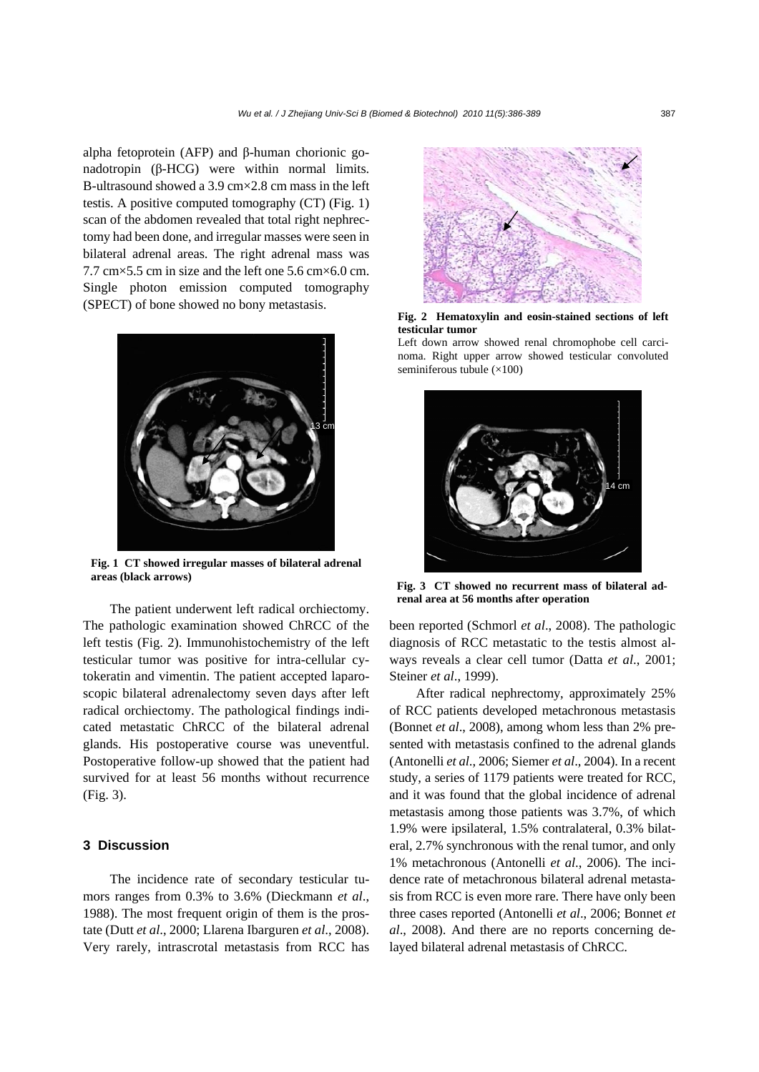alpha fetoprotein (AFP) and β-human chorionic gonadotropin (β-HCG) were within normal limits. B-ultrasound showed a 3.9 cm×2.8 cm mass in the left testis. A positive computed tomography (CT) (Fig. 1) scan of the abdomen revealed that total right nephrectomy had been done, and irregular masses were seen in bilateral adrenal areas. The right adrenal mass was 7.7 cm×5.5 cm in size and the left one 5.6 cm×6.0 cm. Single photon emission computed tomography (SPECT) of bone showed no bony metastasis.



**Fig. 1 CT showed irregular masses of bilateral adrenal areas (black arrows)**

The patient underwent left radical orchiectomy. The pathologic examination showed ChRCC of the left testis (Fig. 2). Immunohistochemistry of the left testicular tumor was positive for intra-cellular cytokeratin and vimentin. The patient accepted laparoscopic bilateral adrenalectomy seven days after left radical orchiectomy. The pathological findings indicated metastatic ChRCC of the bilateral adrenal glands. His postoperative course was uneventful. Postoperative follow-up showed that the patient had survived for at least 56 months without recurrence (Fig. 3).

## **3 Discussion**

The incidence rate of secondary testicular tumors ranges from 0.3% to 3.6% (Dieckmann *et al*., 1988). The most frequent origin of them is the prostate (Dutt *et al*., 2000; Llarena Ibarguren *et al*., 2008). Very rarely, intrascrotal metastasis from RCC has



**Fig. 2 Hematoxylin and eosin-stained sections of left testicular tumor** 

Left down arrow showed renal chromophobe cell carcinoma. Right upper arrow showed testicular convoluted seminiferous tubule  $(\times 100)$ 



**Fig. 3 CT showed no recurrent mass of bilateral adrenal area at 56 months after operation** 

been reported (Schmorl *et al*., 2008). The pathologic diagnosis of RCC metastatic to the testis almost always reveals a clear cell tumor (Datta *et al*., 2001; Steiner *et al*., 1999).

After radical nephrectomy, approximately 25% of RCC patients developed metachronous metastasis (Bonnet *et al*., 2008), among whom less than 2% presented with metastasis confined to the adrenal glands (Antonelli *et al*., 2006; Siemer *et al*., 2004). In a recent study, a series of 1179 patients were treated for RCC, and it was found that the global incidence of adrenal metastasis among those patients was 3.7%, of which 1.9% were ipsilateral, 1.5% contralateral, 0.3% bilateral, 2.7% synchronous with the renal tumor, and only 1% metachronous (Antonelli *et al*., 2006). The incidence rate of metachronous bilateral adrenal metastasis from RCC is even more rare. There have only been three cases reported (Antonelli *et al*., 2006; Bonnet *et al*., 2008). And there are no reports concerning delayed bilateral adrenal metastasis of ChRCC.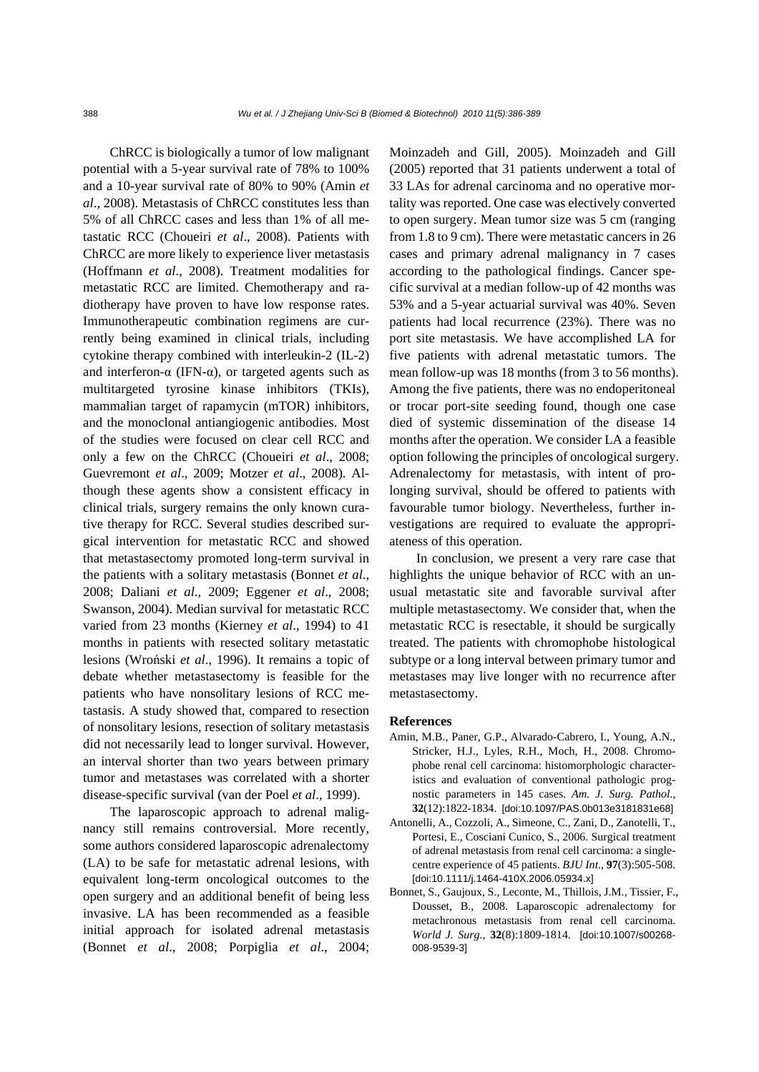ChRCC is biologically a tumor of low malignant potential with a 5-year survival rate of 78% to 100% and a 10-year survival rate of 80% to 90% (Amin *et al*., 2008). Metastasis of ChRCC constitutes less than 5% of all ChRCC cases and less than 1% of all metastatic RCC (Choueiri *et al*., 2008). Patients with ChRCC are more likely to experience liver metastasis (Hoffmann *et al*., 2008). Treatment modalities for metastatic RCC are limited. Chemotherapy and radiotherapy have proven to have low response rates. Immunotherapeutic combination regimens are currently being examined in clinical trials, including cytokine therapy combined with interleukin-2 (IL-2) and interferon- $\alpha$  (IFN- $\alpha$ ), or targeted agents such as multitargeted tyrosine kinase inhibitors (TKIs), mammalian target of rapamycin (mTOR) inhibitors, and the monoclonal antiangiogenic antibodies. Most of the studies were focused on clear cell RCC and only a few on the ChRCC (Choueiri *et al*., 2008; Guevremont *et al*., 2009; Motzer *et al*., 2008). Although these agents show a consistent efficacy in clinical trials, surgery remains the only known curative therapy for RCC. Several studies described surgical intervention for metastatic RCC and showed that metastasectomy promoted long-term survival in the patients with a solitary metastasis (Bonnet *et al*., 2008; Daliani *et al*., 2009; Eggener *et al*., 2008; Swanson, 2004). Median survival for metastatic RCC varied from 23 months (Kierney *et al*., 1994) to 41 months in patients with resected solitary metastatic lesions (Wroński *et al*., 1996). It remains a topic of debate whether metastasectomy is feasible for the patients who have nonsolitary lesions of RCC metastasis. A study showed that, compared to resection of nonsolitary lesions, resection of solitary metastasis did not necessarily lead to longer survival. However, an interval shorter than two years between primary tumor and metastases was correlated with a shorter disease-specific survival (van der Poel *et al*., 1999).

The laparoscopic approach to adrenal malignancy still remains controversial. More recently, some authors considered laparoscopic adrenalectomy (LA) to be safe for metastatic adrenal lesions, with equivalent long-term oncological outcomes to the open surgery and an additional benefit of being less invasive. LA has been recommended as a feasible initial approach for isolated adrenal metastasis (Bonnet *et al*., 2008; Porpiglia *et al*., 2004; Moinzadeh and Gill, 2005). Moinzadeh and Gill (2005) reported that 31 patients underwent a total of 33 LAs for adrenal carcinoma and no operative mortality was reported. One case was electively converted to open surgery. Mean tumor size was 5 cm (ranging from 1.8 to 9 cm). There were metastatic cancers in 26 cases and primary adrenal malignancy in 7 cases according to the pathological findings. Cancer specific survival at a median follow-up of 42 months was 53% and a 5-year actuarial survival was 40%. Seven patients had local recurrence (23%). There was no port site metastasis. We have accomplished LA for five patients with adrenal metastatic tumors. The mean follow-up was 18 months (from 3 to 56 months). Among the five patients, there was no endoperitoneal or trocar port-site seeding found, though one case died of systemic dissemination of the disease 14 months after the operation. We consider LA a feasible option following the principles of oncological surgery. Adrenalectomy for metastasis, with intent of prolonging survival, should be offered to patients with favourable tumor biology. Nevertheless, further investigations are required to evaluate the appropriateness of this operation.

In conclusion, we present a very rare case that highlights the unique behavior of RCC with an unusual metastatic site and favorable survival after multiple metastasectomy. We consider that, when the metastatic RCC is resectable, it should be surgically treated. The patients with chromophobe histological subtype or a long interval between primary tumor and metastases may live longer with no recurrence after metastasectomy.

### **References**

- Amin, M.B., Paner, G.P., Alvarado-Cabrero, I., Young, A.N., Stricker, H.J., Lyles, R.H., Moch, H., 2008. Chromophobe renal cell carcinoma: histomorphologic characteristics and evaluation of conventional pathologic prognostic parameters in 145 cases. *Am. J. Surg. Pathol*., **32**(12):1822-1834. [doi:10.1097/PAS.0b013e3181831e68]
- Antonelli, A., Cozzoli, A., Simeone, C., Zani, D., Zanotelli, T., Portesi, E., Cosciani Cunico, S., 2006. Surgical treatment of adrenal metastasis from renal cell carcinoma: a singlecentre experience of 45 patients. *BJU Int*., **97**(3):505-508. [doi:10.1111/j.1464-410X.2006.05934.x]
- Bonnet, S., Gaujoux, S., Leconte, M., Thillois, J.M., Tissier, F., Dousset, B., 2008. Laparoscopic adrenalectomy for metachronous metastasis from renal cell carcinoma. *World J. Surg*., **32**(8):1809-1814. [doi:10.1007/s00268- 008-9539-3]